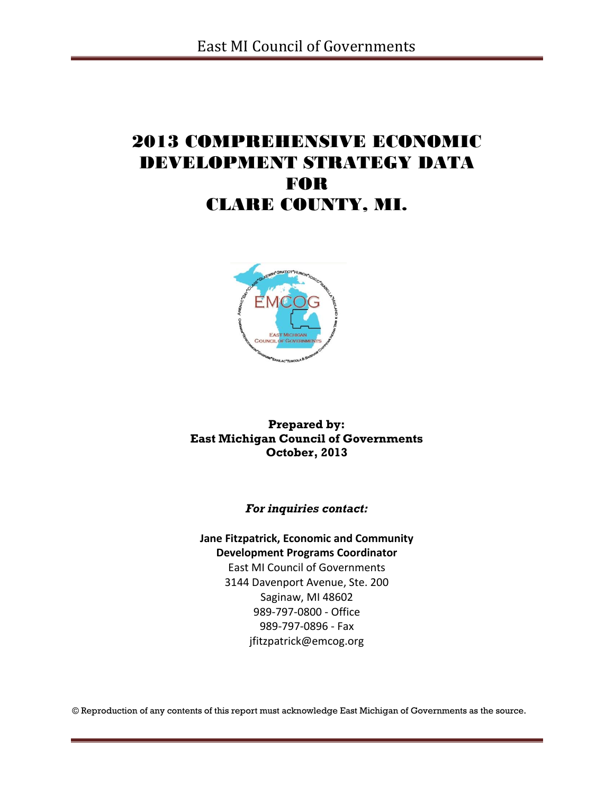# 2013 COMPREHENSIVE ECONOMIC DEVELOPMENT STRATEGY DATA FOR CLARE COUNTY, MI.



**Prepared by: East Michigan Council of Governments October, 2013**

*For inquiries contact:*

**Jane Fitzpatrick, Economic and Community Development Programs Coordinator** East MI Council of Governments 3144 Davenport Avenue, Ste. 200 Saginaw, MI 48602

> 989-797-0800 - Office 989-797-0896 - Fax jfitzpatrick@emcog.org

© Reproduction of any contents of this report must acknowledge East Michigan of Governments as the source.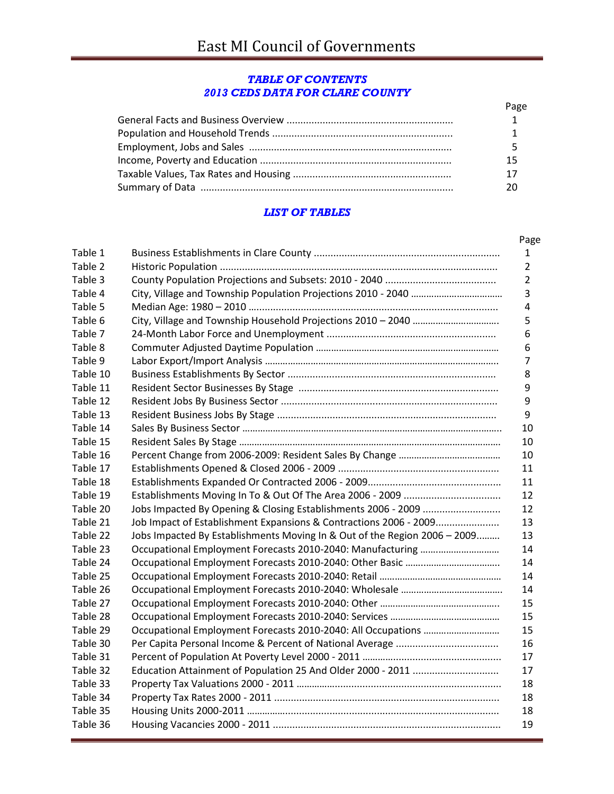#### *TABLE OF CONTENTS 2013 CEDS DATA FOR CLARE COUNTY*

| Page |
|------|
|      |
|      |
|      |
| 15   |
|      |
|      |

### *LIST OF TABLES*

|          |                                                                           | Page |
|----------|---------------------------------------------------------------------------|------|
| Table 1  |                                                                           |      |
| Table 2  |                                                                           |      |
| Table 3  |                                                                           |      |
| Table 4  |                                                                           |      |
| Table 5  |                                                                           |      |
| Table 6  |                                                                           |      |
| Table 7  |                                                                           |      |
| Table 8  |                                                                           |      |
| Table 9  |                                                                           |      |
| Table 10 |                                                                           |      |
| Table 11 |                                                                           |      |
| Table 12 |                                                                           |      |
| Table 13 |                                                                           |      |
| Table 14 |                                                                           |      |
| Table 15 |                                                                           |      |
| Table 16 |                                                                           |      |
| Table 17 |                                                                           |      |
| Table 18 |                                                                           |      |
| Table 19 |                                                                           |      |
| Table 20 |                                                                           |      |
| Table 21 | Job Impact of Establishment Expansions & Contractions 2006 - 2009         | 13   |
| Table 22 | Jobs Impacted By Establishments Moving In & Out of the Region 2006 - 2009 |      |
| Table 23 |                                                                           | 14   |
| Table 24 |                                                                           |      |
| Table 25 |                                                                           | 14   |
| Table 26 |                                                                           |      |
| Table 27 |                                                                           | 15   |
| Table 28 |                                                                           | 15   |
| Table 29 |                                                                           | 15   |
| Table 30 |                                                                           |      |
| Table 31 |                                                                           | 17   |
| Table 32 |                                                                           | 17   |
| Table 33 |                                                                           | 18   |
| Table 34 |                                                                           |      |
| Table 35 |                                                                           | 18   |
| Table 36 |                                                                           |      |
|          |                                                                           |      |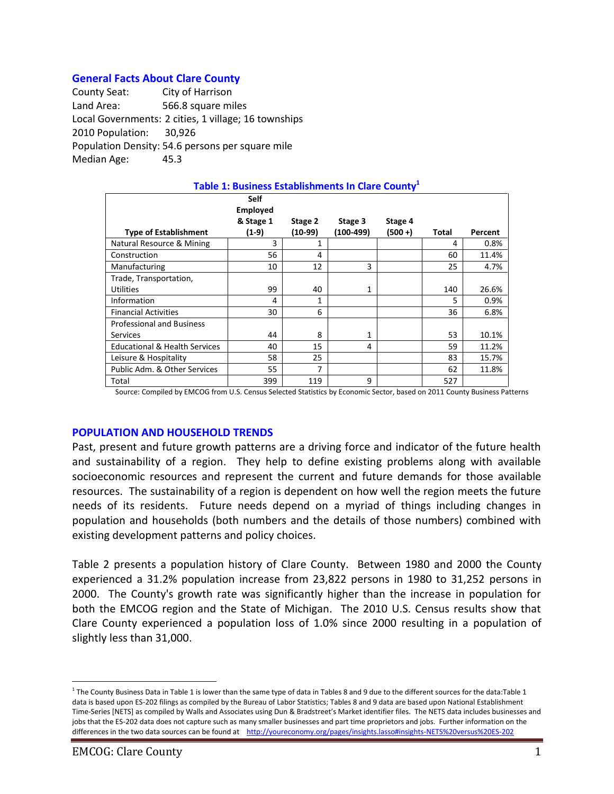### **General Facts About Clare County**

County Seat: City of Harrison Land Area: 566.8 square miles Local Governments: 2 cities, 1 village; 16 townships 2010 Population: 30,926 Population Density: 54.6 persons per square mile Median Age: 45.3

| Table 1: Business Establishments In Clare County <sup>1</sup> |                                             |         |           |            |       |         |  |  |
|---------------------------------------------------------------|---------------------------------------------|---------|-----------|------------|-------|---------|--|--|
|                                                               | <b>Self</b><br><b>Employed</b><br>& Stage 1 | Stage 2 | Stage 3   | Stage 4    |       |         |  |  |
| <b>Type of Establishment</b>                                  | (1-9)                                       | (10-99) | (100-499) | $(500 + )$ | Total | Percent |  |  |
| Natural Resource & Mining                                     | 3                                           | 1       |           |            | 4     | 0.8%    |  |  |
| Construction                                                  | 56                                          | 4       |           |            | 60    | 11.4%   |  |  |
| Manufacturing                                                 | 10                                          | 12      | 3         |            | 25    | 4.7%    |  |  |
| Trade, Transportation,                                        |                                             |         |           |            |       |         |  |  |
| <b>Utilities</b>                                              | 99                                          | 40      | 1         |            | 140   | 26.6%   |  |  |
| Information                                                   | 4                                           | 1       |           |            | 5     | 0.9%    |  |  |
| <b>Financial Activities</b>                                   | 30                                          | 6       |           |            | 36    | 6.8%    |  |  |
| <b>Professional and Business</b>                              |                                             |         |           |            |       |         |  |  |
| <b>Services</b>                                               | 44                                          | 8       | 1         |            | 53    | 10.1%   |  |  |
| <b>Educational &amp; Health Services</b>                      | 40                                          | 15      | 4         |            | 59    | 11.2%   |  |  |
| Leisure & Hospitality                                         | 58                                          | 25      |           |            | 83    | 15.7%   |  |  |
| Public Adm. & Other Services                                  | 55                                          | 7       |           |            | 62    | 11.8%   |  |  |
| Total                                                         | 399                                         | 119     | 9         |            | 527   |         |  |  |

#### Source: Compiled by EMCOG from U.S. Census Selected Statistics by Economic Sector, based on 2011 County Business Patterns

#### **POPULATION AND HOUSEHOLD TRENDS**

Past, present and future growth patterns are a driving force and indicator of the future health and sustainability of a region. They help to define existing problems along with available socioeconomic resources and represent the current and future demands for those available resources. The sustainability of a region is dependent on how well the region meets the future needs of its residents. Future needs depend on a myriad of things including changes in population and households (both numbers and the details of those numbers) combined with existing development patterns and policy choices.

Table 2 presents a population history of Clare County. Between 1980 and 2000 the County experienced a 31.2% population increase from 23,822 persons in 1980 to 31,252 persons in 2000. The County's growth rate was significantly higher than the increase in population for both the EMCOG region and the State of Michigan. The 2010 U.S. Census results show that Clare County experienced a population loss of 1.0% since 2000 resulting in a population of slightly less than 31,000.

 $\overline{a}$ 

<sup>&</sup>lt;sup>1</sup> The County Business Data in Table 1 is lower than the same type of data in Tables 8 and 9 due to the different sources for the data:Table 1 data is based upon ES-202 filings as compiled by the Bureau of Labor Statistics; Tables 8 and 9 data are based upon National Establishment Time-Series [NETS] as compiled by Walls and Associates using Dun & Bradstreet's Market identifier files. The NETS data includes businesses and jobs that the ES-202 data does not capture such as many smaller businesses and part time proprietors and jobs. Further information on the differences in the two data sources can be found at <http://youreconomy.org/pages/insights.lasso#insights-NETS%20versus%20ES-202>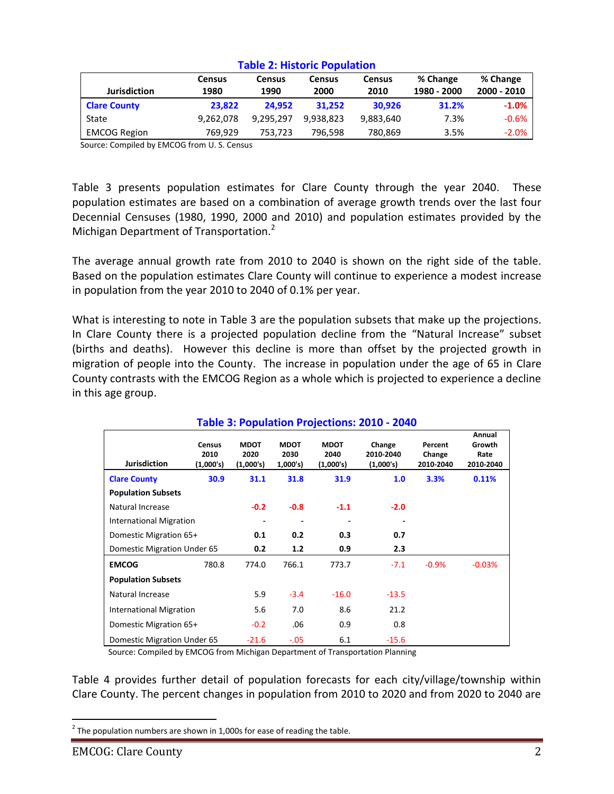|                     | <b>Census</b> | Census    | Census    | <b>Census</b> | % Change    | % Change    |  |
|---------------------|---------------|-----------|-----------|---------------|-------------|-------------|--|
| <b>Jurisdiction</b> | 1980          | 1990      | 2000      | 2010          | 1980 - 2000 | 2000 - 2010 |  |
| <b>Clare County</b> | 23.822        | 24.952    | 31.252    | 30.926        | 31.2%       | $-1.0%$     |  |
| State               | 9,262,078     | 9.295.297 | 9.938.823 | 9,883,640     | 7.3%        | $-0.6%$     |  |
| <b>EMCOG Region</b> | 769.929       | 753,723   | 796.598   | 780,869       | 3.5%        | $-2.0%$     |  |

#### **Table 2: Historic Population**

Source: Compiled by EMCOG from U. S. Census

Table 3 presents population estimates for Clare County through the year 2040. These population estimates are based on a combination of average growth trends over the last four Decennial Censuses (1980, 1990, 2000 and 2010) and population estimates provided by the Michigan Department of Transportation.<sup>2</sup>

The average annual growth rate from 2010 to 2040 is shown on the right side of the table. Based on the population estimates Clare County will continue to experience a modest increase in population from the year 2010 to 2040 of 0.1% per year.

What is interesting to note in Table 3 are the population subsets that make up the projections. In Clare County there is a projected population decline from the "Natural Increase" subset (births and deaths). However this decline is more than offset by the projected growth in migration of people into the County. The increase in population under the age of 65 in Clare County contrasts with the EMCOG Region as a whole which is projected to experience a decline in this age group.

| Table 3: Population Projections: 2010 - 2040 |                                    |                                  |                                 |                                  |                                  |                                |                                       |
|----------------------------------------------|------------------------------------|----------------------------------|---------------------------------|----------------------------------|----------------------------------|--------------------------------|---------------------------------------|
| <b>Jurisdiction</b>                          | <b>Census</b><br>2010<br>(1,000's) | <b>MDOT</b><br>2020<br>(1,000's) | <b>MDOT</b><br>2030<br>1,000's) | <b>MDOT</b><br>2040<br>(1,000's) | Change<br>2010-2040<br>(1,000's) | Percent<br>Change<br>2010-2040 | Annual<br>Growth<br>Rate<br>2010-2040 |
| <b>Clare County</b>                          | 30.9                               | 31.1                             | 31.8                            | 31.9                             | 1.0                              | 3.3%                           | 0.11%                                 |
| <b>Population Subsets</b>                    |                                    |                                  |                                 |                                  |                                  |                                |                                       |
| Natural Increase                             |                                    | $-0.2$                           | $-0.8$                          | $-1.1$                           | $-2.0$                           |                                |                                       |
| <b>International Migration</b>               |                                    |                                  | ٠                               |                                  |                                  |                                |                                       |
| Domestic Migration 65+                       |                                    | 0.1                              | 0.2                             | 0.3                              | 0.7                              |                                |                                       |
| Domestic Migration Under 65                  |                                    | 0.2                              | 1.2                             | 0.9                              | 2.3                              |                                |                                       |
| <b>EMCOG</b>                                 | 780.8                              | 774.0                            | 766.1                           | 773.7                            | $-7.1$                           | $-0.9%$                        | $-0.03%$                              |
| <b>Population Subsets</b>                    |                                    |                                  |                                 |                                  |                                  |                                |                                       |
| Natural Increase                             |                                    | 5.9                              | $-3.4$                          | $-16.0$                          | $-13.5$                          |                                |                                       |
| <b>International Migration</b>               |                                    | 5.6                              | 7.0                             | 8.6                              | 21.2                             |                                |                                       |
| Domestic Migration 65+                       |                                    | $-0.2$                           | .06                             | 0.9                              | 0.8                              |                                |                                       |
| Domestic Migration Under 65                  |                                    | $-21.6$                          | $-.05$                          | 6.1                              | $-15.6$                          |                                |                                       |

Source: Compiled by EMCOG from Michigan Department of Transportation Planning

Table 4 provides further detail of population forecasts for each city/village/township within Clare County. The percent changes in population from 2010 to 2020 and from 2020 to 2040 are

 $\overline{a}$ 

 $^{2}$  The population numbers are shown in 1,000s for ease of reading the table.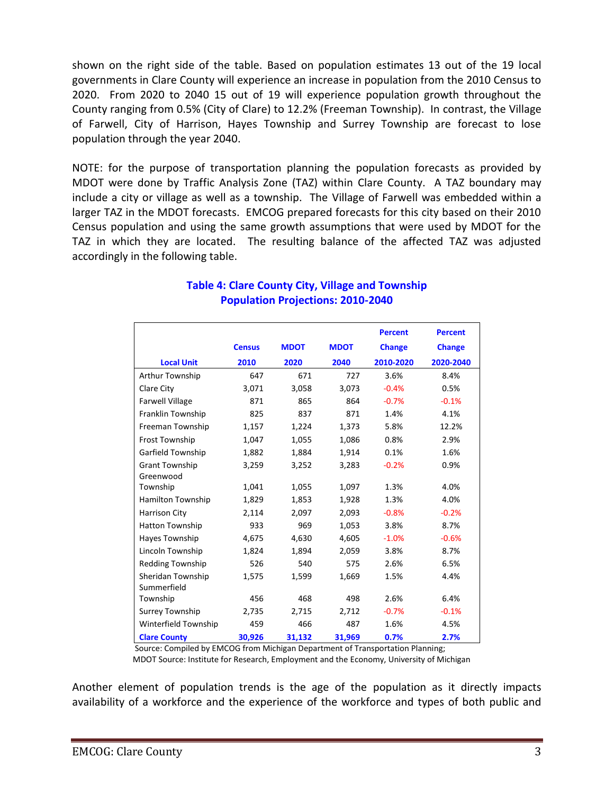shown on the right side of the table. Based on population estimates 13 out of the 19 local governments in Clare County will experience an increase in population from the 2010 Census to 2020. From 2020 to 2040 15 out of 19 will experience population growth throughout the County ranging from 0.5% (City of Clare) to 12.2% (Freeman Township). In contrast, the Village of Farwell, City of Harrison, Hayes Township and Surrey Township are forecast to lose population through the year 2040.

NOTE: for the purpose of transportation planning the population forecasts as provided by MDOT were done by Traffic Analysis Zone (TAZ) within Clare County. A TAZ boundary may include a city or village as well as a township. The Village of Farwell was embedded within a larger TAZ in the MDOT forecasts. EMCOG prepared forecasts for this city based on their 2010 Census population and using the same growth assumptions that were used by MDOT for the TAZ in which they are located. The resulting balance of the affected TAZ was adjusted accordingly in the following table.

|                         |               |             |             | <b>Percent</b> | <b>Percent</b> |
|-------------------------|---------------|-------------|-------------|----------------|----------------|
|                         | <b>Census</b> | <b>MDOT</b> | <b>MDOT</b> | <b>Change</b>  | <b>Change</b>  |
| <b>Local Unit</b>       | 2010          | 2020        | 2040        | 2010-2020      | 2020-2040      |
| Arthur Township         | 647           | 671         | 727         | 3.6%           | 8.4%           |
| Clare City              | 3,071         | 3,058       | 3,073       | $-0.4%$        | 0.5%           |
| <b>Farwell Village</b>  | 871           | 865         | 864         | $-0.7%$        | $-0.1%$        |
| Franklin Township       | 825           | 837         | 871         | 1.4%           | 4.1%           |
| Freeman Township        | 1,157         | 1,224       | 1,373       | 5.8%           | 12.2%          |
| Frost Township          | 1,047         | 1,055       | 1,086       | 0.8%           | 2.9%           |
| Garfield Township       | 1,882         | 1,884       | 1,914       | 0.1%           | 1.6%           |
| <b>Grant Township</b>   | 3,259         | 3,252       | 3,283       | $-0.2%$        | 0.9%           |
| Greenwood               |               |             |             |                |                |
| Township                | 1,041         | 1,055       | 1,097       | 1.3%           | 4.0%           |
| Hamilton Township       | 1,829         | 1,853       | 1,928       | 1.3%           | 4.0%           |
| <b>Harrison City</b>    | 2,114         | 2,097       | 2,093       | $-0.8%$        | $-0.2%$        |
| <b>Hatton Township</b>  | 933           | 969         | 1,053       | 3.8%           | 8.7%           |
| Hayes Township          | 4,675         | 4,630       | 4,605       | $-1.0%$        | $-0.6%$        |
| Lincoln Township        | 1,824         | 1,894       | 2,059       | 3.8%           | 8.7%           |
| <b>Redding Township</b> | 526           | 540         | 575         | 2.6%           | 6.5%           |
| Sheridan Township       | 1,575         | 1,599       | 1,669       | 1.5%           | 4.4%           |
| Summerfield             |               |             |             |                |                |
| Township                | 456           | 468         | 498         | 2.6%           | 6.4%           |
| Surrey Township         | 2,735         | 2,715       | 2,712       | $-0.7%$        | $-0.1%$        |
| Winterfield Township    | 459           | 466         | 487         | 1.6%           | 4.5%           |
| <b>Clare County</b>     | 30,926        | 31,132      | 31,969      | 0.7%           | 2.7%           |

# **Table 4: Clare County City, Village and Township Population Projections: 2010-2040**

Source: Compiled by EMCOG from Michigan Department of Transportation Planning;

MDOT Source: Institute for Research, Employment and the Economy, University of Michigan

Another element of population trends is the age of the population as it directly impacts availability of a workforce and the experience of the workforce and types of both public and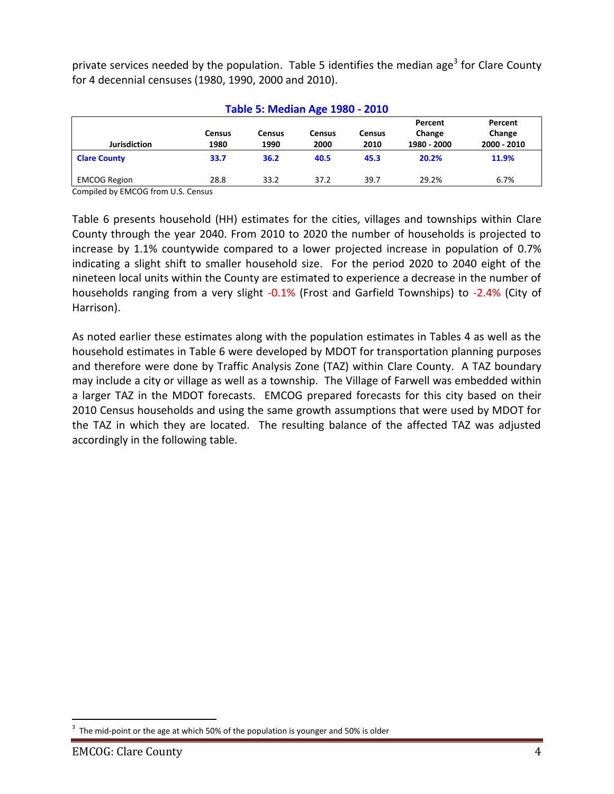private services needed by the population. Table 5 identifies the median age<sup>3</sup> for Clare County for 4 decennial censuses (1980, 1990, 2000 and 2010).

| <b>Table 5: Median Age 1980 - 2010</b> |                       |                       |                       |                       |                                  |                                  |  |  |
|----------------------------------------|-----------------------|-----------------------|-----------------------|-----------------------|----------------------------------|----------------------------------|--|--|
| <b>Jurisdiction</b>                    | <b>Census</b><br>1980 | <b>Census</b><br>1990 | <b>Census</b><br>2000 | <b>Census</b><br>2010 | Percent<br>Change<br>1980 - 2000 | Percent<br>Change<br>2000 - 2010 |  |  |
| <b>Clare County</b>                    | 33.7                  | 36.2                  | 40.5                  | 45.3                  | 20.2%                            | 11.9%                            |  |  |
| <b>EMCOG Region</b>                    | 28.8                  | 33.2                  | 37.2                  | 39.7                  | 29.2%                            | 6.7%                             |  |  |

Compiled by EMCOG from U.S. Census

Table 6 presents household (HH) estimates for the cities, villages and townships within Clare County through the year 2040. From 2010 to 2020 the number of households is projected to increase by 1.1% countywide compared to a lower projected increase in population of 0.7% indicating a slight shift to smaller household size. For the period 2020 to 2040 eight of the nineteen local units within the County are estimated to experience a decrease in the number of households ranging from a very slight -0.1% (Frost and Garfield Townships) to -2.4% (City of Harrison).

As noted earlier these estimates along with the population estimates in Tables 4 as well as the household estimates in Table 6 were developed by MDOT for transportation planning purposes and therefore were done by Traffic Analysis Zone (TAZ) within Clare County. A TAZ boundary may include a city or village as well as a township. The Village of Farwell was embedded within a larger TAZ in the MDOT forecasts. EMCOG prepared forecasts for this city based on their 2010 Census households and using the same growth assumptions that were used by MDOT for the TAZ in which they are located. The resulting balance of the affected TAZ was adjusted accordingly in the following table.

 $\overline{a}$ 3 The mid-point or the age at which 50% of the population is younger and 50% is older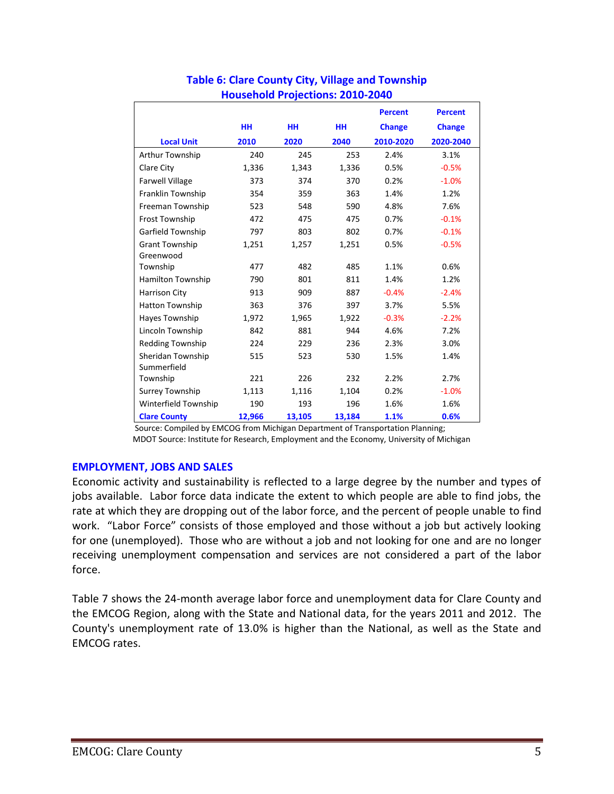|                          |           |        |           | <b>Percent</b> | <b>Percent</b> |
|--------------------------|-----------|--------|-----------|----------------|----------------|
|                          | <b>HH</b> | HH     | <b>HH</b> | <b>Change</b>  | <b>Change</b>  |
| <b>Local Unit</b>        | 2010      | 2020   | 2040      | 2010-2020      | 2020-2040      |
| Arthur Township          | 240       | 245    | 253       | 2.4%           | 3.1%           |
| Clare City               | 1,336     | 1,343  | 1,336     | 0.5%           | $-0.5%$        |
| <b>Farwell Village</b>   | 373       | 374    | 370       | 0.2%           | $-1.0%$        |
| Franklin Township        | 354       | 359    | 363       | 1.4%           | 1.2%           |
| Freeman Township         | 523       | 548    | 590       | 4.8%           | 7.6%           |
| <b>Frost Township</b>    | 472       | 475    | 475       | 0.7%           | $-0.1%$        |
| Garfield Township        | 797       | 803    | 802       | 0.7%           | $-0.1%$        |
| <b>Grant Township</b>    | 1,251     | 1,257  | 1,251     | 0.5%           | $-0.5%$        |
| Greenwood                |           |        |           |                |                |
| Township                 | 477       | 482    | 485       | 1.1%           | 0.6%           |
| <b>Hamilton Township</b> | 790       | 801    | 811       | 1.4%           | 1.2%           |
| Harrison City            | 913       | 909    | 887       | $-0.4%$        | $-2.4%$        |
| <b>Hatton Township</b>   | 363       | 376    | 397       | 3.7%           | 5.5%           |
| Hayes Township           | 1,972     | 1,965  | 1,922     | $-0.3%$        | $-2.2%$        |
| Lincoln Township         | 842       | 881    | 944       | 4.6%           | 7.2%           |
| <b>Redding Township</b>  | 224       | 229    | 236       | 2.3%           | 3.0%           |
| Sheridan Township        | 515       | 523    | 530       | 1.5%           | 1.4%           |
| Summerfield              |           |        |           |                |                |
| Township                 | 221       | 226    | 232       | 2.2%           | 2.7%           |
| Surrey Township          | 1,113     | 1,116  | 1,104     | 0.2%           | $-1.0%$        |
| Winterfield Township     | 190       | 193    | 196       | 1.6%           | 1.6%           |
| <b>Clare County</b>      | 12,966    | 13,105 | 13,184    | 1.1%           | 0.6%           |

### **Table 6: Clare County City, Village and Township Household Projections: 2010-2040**

 Source: Compiled by EMCOG from Michigan Department of Transportation Planning; MDOT Source: Institute for Research, Employment and the Economy, University of Michigan

### **EMPLOYMENT, JOBS AND SALES**

Economic activity and sustainability is reflected to a large degree by the number and types of jobs available. Labor force data indicate the extent to which people are able to find jobs, the rate at which they are dropping out of the labor force, and the percent of people unable to find work. "Labor Force" consists of those employed and those without a job but actively looking for one (unemployed). Those who are without a job and not looking for one and are no longer receiving unemployment compensation and services are not considered a part of the labor force.

Table 7 shows the 24-month average labor force and unemployment data for Clare County and the EMCOG Region, along with the State and National data, for the years 2011 and 2012. The County's unemployment rate of 13.0% is higher than the National, as well as the State and EMCOG rates.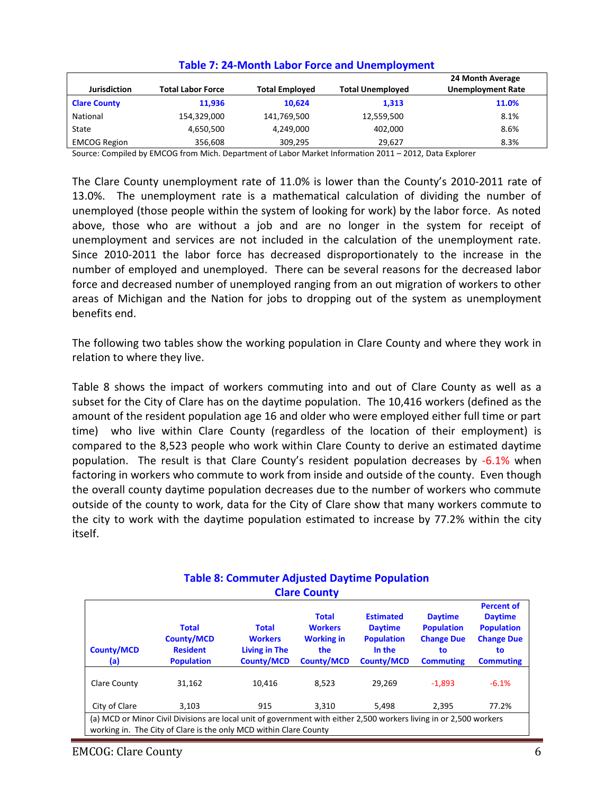| Jurisdiction        | <b>Total Labor Force</b> | <b>Total Employed</b> | <b>Total Unemployed</b> | 24 Month Average<br><b>Unemployment Rate</b> |
|---------------------|--------------------------|-----------------------|-------------------------|----------------------------------------------|
| <b>Clare County</b> | 11.936                   | 10.624                | 1,313                   | 11.0%                                        |
| National            | 154,329,000              | 141,769,500           | 12,559,500              | 8.1%                                         |
| State               | 4,650,500                | 4,249,000             | 402,000                 | 8.6%                                         |
| <b>EMCOG Region</b> | 356,608                  | 309,295               | 29,627                  | 8.3%                                         |

### **Table 7: 24-Month Labor Force and Unemployment**

Source: Compiled by EMCOG from Mich. Department of Labor Market Information 2011 – 2012, Data Explorer

The Clare County unemployment rate of 11.0% is lower than the County's 2010-2011 rate of 13.0%. The unemployment rate is a mathematical calculation of dividing the number of unemployed (those people within the system of looking for work) by the labor force. As noted above, those who are without a job and are no longer in the system for receipt of unemployment and services are not included in the calculation of the unemployment rate. Since 2010-2011 the labor force has decreased disproportionately to the increase in the number of employed and unemployed. There can be several reasons for the decreased labor force and decreased number of unemployed ranging from an out migration of workers to other areas of Michigan and the Nation for jobs to dropping out of the system as unemployment benefits end.

The following two tables show the working population in Clare County and where they work in relation to where they live.

Table 8 shows the impact of workers commuting into and out of Clare County as well as a subset for the City of Clare has on the daytime population. The 10,416 workers (defined as the amount of the resident population age 16 and older who were employed either full time or part time) who live within Clare County (regardless of the location of their employment) is compared to the 8,523 people who work within Clare County to derive an estimated daytime population. The result is that Clare County's resident population decreases by -6.1% when factoring in workers who commute to work from inside and outside of the county. Even though the overall county daytime population decreases due to the number of workers who commute outside of the county to work, data for the City of Clare show that many workers commute to the city to work with the daytime population estimated to increase by 77.2% within the city itself.

| <b>County/MCD</b><br>(a) | <b>Total</b><br><b>County/MCD</b><br><b>Resident</b><br><b>Population</b>                                                                                                               | <b>Total</b><br><b>Workers</b><br><b>Living in The</b><br><b>County/MCD</b> | <b>Total</b><br><b>Workers</b><br><b>Working in</b><br>the<br><b>County/MCD</b> | <b>Estimated</b><br><b>Daytime</b><br><b>Population</b><br>In the<br><b>County/MCD</b> | <b>Daytime</b><br><b>Population</b><br><b>Change Due</b><br>to<br><b>Commuting</b> | <b>Percent of</b><br><b>Daytime</b><br><b>Population</b><br><b>Change Due</b><br>to<br><b>Commuting</b> |  |  |
|--------------------------|-----------------------------------------------------------------------------------------------------------------------------------------------------------------------------------------|-----------------------------------------------------------------------------|---------------------------------------------------------------------------------|----------------------------------------------------------------------------------------|------------------------------------------------------------------------------------|---------------------------------------------------------------------------------------------------------|--|--|
| <b>Clare County</b>      | 31.162                                                                                                                                                                                  | 10,416                                                                      | 8.523                                                                           | 29.269                                                                                 | $-1.893$                                                                           | $-6.1%$                                                                                                 |  |  |
| City of Clare            | 3.103                                                                                                                                                                                   | 915                                                                         | 3,310                                                                           | 5,498                                                                                  | 2.395                                                                              | 77.2%                                                                                                   |  |  |
|                          | (a) MCD or Minor Civil Divisions are local unit of government with either 2,500 workers living in or 2,500 workers<br>working in. The City of Clare is the only MCD within Clare County |                                                                             |                                                                                 |                                                                                        |                                                                                    |                                                                                                         |  |  |

#### **Table 8: Commuter Adjusted Daytime Population Clare County**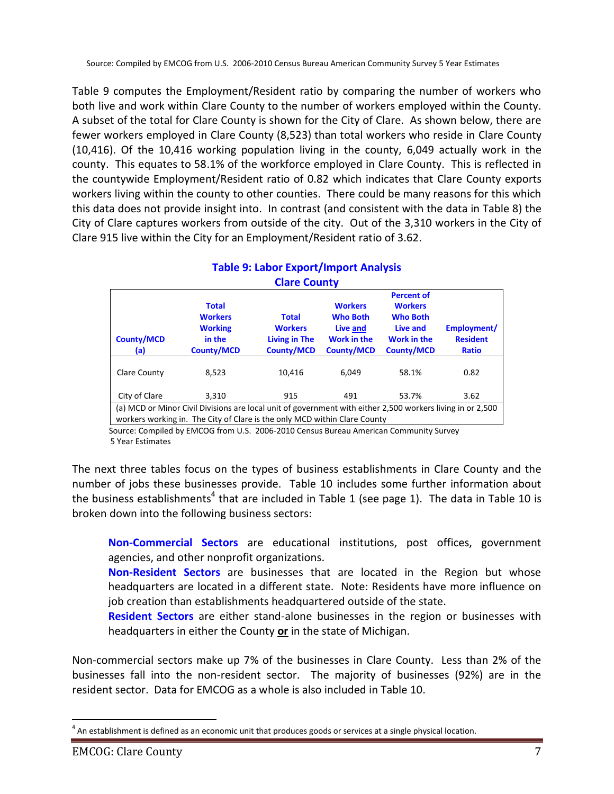Table 9 computes the Employment/Resident ratio by comparing the number of workers who both live and work within Clare County to the number of workers employed within the County. A subset of the total for Clare County is shown for the City of Clare. As shown below, there are fewer workers employed in Clare County (8,523) than total workers who reside in Clare County (10,416). Of the 10,416 working population living in the county, 6,049 actually work in the county. This equates to 58.1% of the workforce employed in Clare County. This is reflected in the countywide Employment/Resident ratio of 0.82 which indicates that Clare County exports workers living within the county to other counties. There could be many reasons for this which this data does not provide insight into. In contrast (and consistent with the data in Table 8) the City of Clare captures workers from outside of the city. Out of the 3,310 workers in the City of Clare 915 live within the City for an Employment/Resident ratio of 3.62.

## **Table 9: Labor Export/Import Analysis Clare County**

| <b>County/MCD</b><br>(a) | <b>Total</b><br><b>Workers</b><br><b>Working</b><br>in the<br><b>County/MCD</b>                                                                                                         | <b>Total</b><br><b>Workers</b><br><b>Living in The</b><br><b>County/MCD</b> | <b>Workers</b><br><b>Who Both</b><br>Live and<br><b>Work in the</b><br><b>County/MCD</b> | <b>Percent of</b><br><b>Workers</b><br><b>Who Both</b><br>Live and<br>Work in the<br><b>County/MCD</b> | Employment/<br><b>Resident</b><br>Ratio |  |  |  |
|--------------------------|-----------------------------------------------------------------------------------------------------------------------------------------------------------------------------------------|-----------------------------------------------------------------------------|------------------------------------------------------------------------------------------|--------------------------------------------------------------------------------------------------------|-----------------------------------------|--|--|--|
| Clare County             | 8.523                                                                                                                                                                                   | 10,416                                                                      | 6.049                                                                                    | 58.1%                                                                                                  | 0.82                                    |  |  |  |
| City of Clare            | 3.310                                                                                                                                                                                   | 915                                                                         | 491                                                                                      | 53.7%                                                                                                  | 3.62                                    |  |  |  |
|                          | (a) MCD or Minor Civil Divisions are local unit of government with either 2,500 workers living in or 2,500<br>workers working in. The City of Clare is the only MCD within Clare County |                                                                             |                                                                                          |                                                                                                        |                                         |  |  |  |

 Source: Compiled by EMCOG from U.S. 2006-2010 Census Bureau American Community Survey 5 Year Estimates

The next three tables focus on the types of business establishments in Clare County and the number of jobs these businesses provide. Table 10 includes some further information about the business establishments<sup>4</sup> that are included in Table 1 (see page 1). The data in Table 10 is broken down into the following business sectors:

**Non-Commercial Sectors** are educational institutions, post offices, government agencies, and other nonprofit organizations.

**Non-Resident Sectors** are businesses that are located in the Region but whose headquarters are located in a different state. Note: Residents have more influence on job creation than establishments headquartered outside of the state.

**Resident Sectors** are either stand-alone businesses in the region or businesses with headquarters in either the County **or** in the state of Michigan.

Non-commercial sectors make up 7% of the businesses in Clare County. Less than 2% of the businesses fall into the non-resident sector. The majority of businesses (92%) are in the resident sector. Data for EMCOG as a whole is also included in Table 10.

 $\overline{a}$  $<sup>4</sup>$  An establishment is defined as an economic unit that produces goods or services at a single physical location.</sup>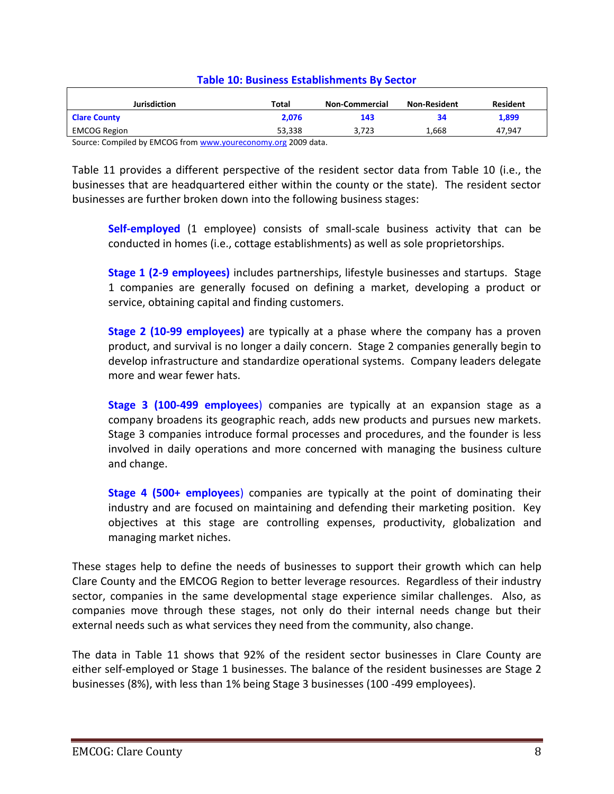| Jurisdiction              | <b>Total</b> | <b>Non-Commercial</b> | <b>Non-Resident</b> | <b>Resident</b> |
|---------------------------|--------------|-----------------------|---------------------|-----------------|
| <b>Clare County</b>       | 2,076        | 143                   | 34                  | 1,899           |
| <b>EMCOG Region</b>       | 53.338       | 3.723                 | 1.668               | 47.947          |
| .<br>$-0.00000$<br>$\sim$ | $\cdots$     |                       |                     |                 |

#### **Table 10: Business Establishments By Sector**

Source: Compiled by EMCOG fro[m www.youreconomy.org](http://www.youreconomy.org/) 2009 data.

Table 11 provides a different perspective of the resident sector data from Table 10 (i.e., the businesses that are headquartered either within the county or the state). The resident sector businesses are further broken down into the following business stages:

**Self-employed** (1 employee) consists of small-scale business activity that can be conducted in homes (i.e., cottage establishments) as well as sole proprietorships.

**Stage 1 (2-9 employees)** includes partnerships, lifestyle businesses and startups. Stage 1 companies are generally focused on defining a market, developing a product or service, obtaining capital and finding customers.

**Stage 2 (10-99 employees)** are typically at a phase where the company has a proven product, and survival is no longer a daily concern. Stage 2 companies generally begin to develop infrastructure and standardize operational systems. Company leaders delegate more and wear fewer hats.

**Stage 3 (100-499 employees**) companies are typically at an expansion stage as a company broadens its geographic reach, adds new products and pursues new markets. Stage 3 companies introduce formal processes and procedures, and the founder is less involved in daily operations and more concerned with managing the business culture and change.

**Stage 4 (500+ employees**) companies are typically at the point of dominating their industry and are focused on maintaining and defending their marketing position. Key objectives at this stage are controlling expenses, productivity, globalization and managing market niches.

These stages help to define the needs of businesses to support their growth which can help Clare County and the EMCOG Region to better leverage resources. Regardless of their industry sector, companies in the same developmental stage experience similar challenges. Also, as companies move through these stages, not only do their internal needs change but their external needs such as what services they need from the community, also change.

The data in Table 11 shows that 92% of the resident sector businesses in Clare County are either self-employed or Stage 1 businesses. The balance of the resident businesses are Stage 2 businesses (8%), with less than 1% being Stage 3 businesses (100 -499 employees).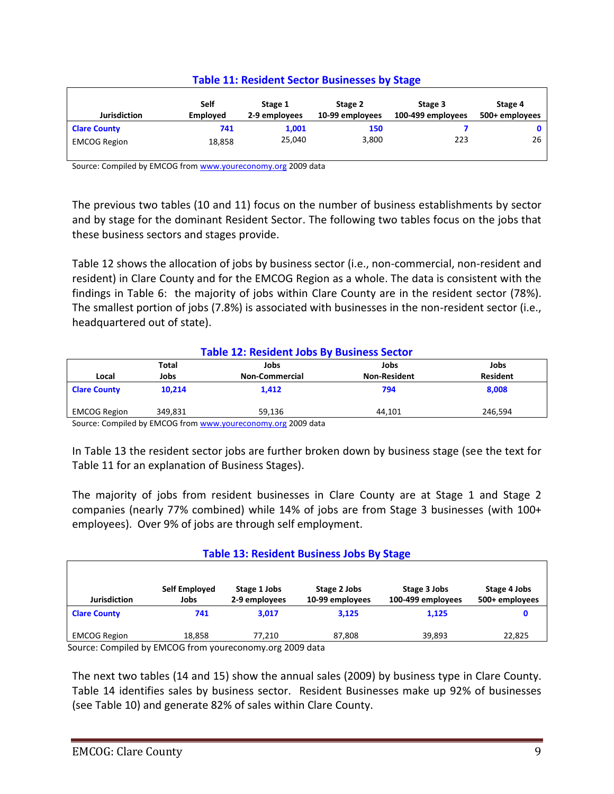| <b>Jurisdiction</b> | Self<br><b>Employed</b> | Stage 1<br>2-9 employees | Stage 2<br>10-99 employees | Stage 3<br>100-499 employees | Stage 4<br>500+ employees |
|---------------------|-------------------------|--------------------------|----------------------------|------------------------------|---------------------------|
| <b>Clare County</b> | 741                     | 1,001                    | 150                        |                              | 0                         |
| <b>EMCOG Region</b> | 18,858                  | 25,040                   | 3,800                      | 223                          | 26                        |

### **Table 11: Resident Sector Businesses by Stage**

Source: Compiled by EMCOG fro[m www.youreconomy.org](http://www.youreconomy.org/) 2009 data

The previous two tables (10 and 11) focus on the number of business establishments by sector and by stage for the dominant Resident Sector. The following two tables focus on the jobs that these business sectors and stages provide.

Table 12 shows the allocation of jobs by business sector (i.e., non-commercial, non-resident and resident) in Clare County and for the EMCOG Region as a whole. The data is consistent with the findings in Table 6: the majority of jobs within Clare County are in the resident sector (78%). The smallest portion of jobs (7.8%) is associated with businesses in the non-resident sector (i.e., headquartered out of state).

### **Table 12: Resident Jobs By Business Sector**

|                                                              | Total   | Jobs                  | Jobs                | Jobs            |  |  |
|--------------------------------------------------------------|---------|-----------------------|---------------------|-----------------|--|--|
| Local                                                        | Jobs    | <b>Non-Commercial</b> | <b>Non-Resident</b> | <b>Resident</b> |  |  |
| <b>Clare County</b>                                          | 10.214  | 1,412                 | 794                 | 8,008           |  |  |
| <b>EMCOG Region</b>                                          | 349.831 | 59.136                | 44.101              | 246.594         |  |  |
| Source: Compiled by EMCOC from www.vouroconomy.org 2009 data |         |                       |                     |                 |  |  |

Source: Compiled by EMCOG fro[m www.youreconomy.org](http://www.youreconomy.org/) 2009 data

In Table 13 the resident sector jobs are further broken down by business stage (see the text for Table 11 for an explanation of Business Stages).

The majority of jobs from resident businesses in Clare County are at Stage 1 and Stage 2 companies (nearly 77% combined) while 14% of jobs are from Stage 3 businesses (with 100+ employees). Over 9% of jobs are through self employment.

### **Table 13: Resident Business Jobs By Stage**

| <b>Jurisdiction</b> | Self Employed<br>Jobs | Stage 1 Jobs<br>2-9 employees | Stage 2 Jobs<br>10-99 employees | Stage 3 Jobs<br>100-499 employees | Stage 4 Jobs<br>500+ employees |
|---------------------|-----------------------|-------------------------------|---------------------------------|-----------------------------------|--------------------------------|
| <b>Clare County</b> | 741                   | 3.017                         | 3,125                           | 1,125                             |                                |
| <b>EMCOG Region</b> | 18,858                | 77.210                        | 87,808                          | 39,893                            | 22.825                         |

Source: Compiled by EMCOG from youreconomy.org 2009 data

The next two tables (14 and 15) show the annual sales (2009) by business type in Clare County. Table 14 identifies sales by business sector. Resident Businesses make up 92% of businesses (see Table 10) and generate 82% of sales within Clare County.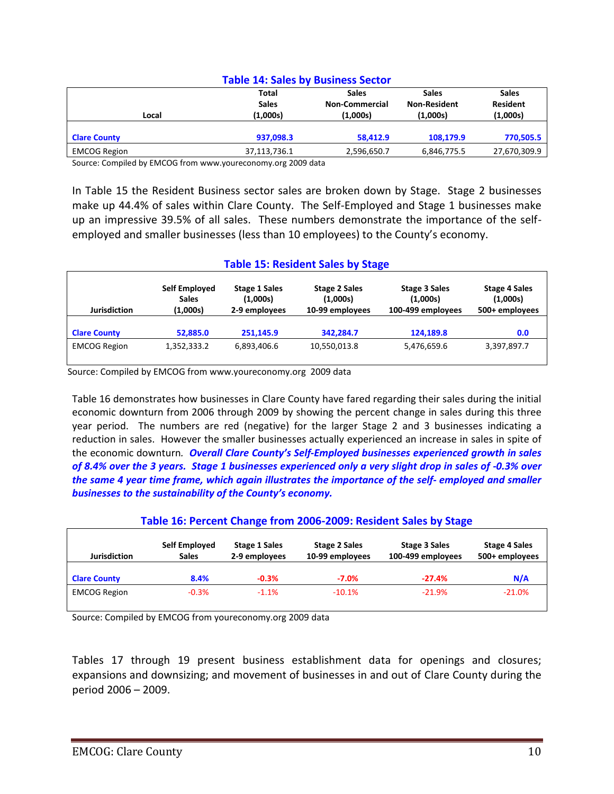| <b>Table 14: Sales by Business Sector</b> |                                          |                                                   |                                                 |                                             |  |  |
|-------------------------------------------|------------------------------------------|---------------------------------------------------|-------------------------------------------------|---------------------------------------------|--|--|
| Local                                     | <b>Total</b><br><b>Sales</b><br>(1,000s) | <b>Sales</b><br><b>Non-Commercial</b><br>(1,000s) | <b>Sales</b><br><b>Non-Resident</b><br>(1,000s) | <b>Sales</b><br><b>Resident</b><br>(1,000s) |  |  |
| <b>Clare County</b>                       | 937,098.3                                | 58,412.9                                          | 108,179.9                                       | 770,505.5                                   |  |  |
| <b>EMCOG Region</b>                       | 37,113,736.1                             | 2,596,650.7                                       | 6,846,775.5                                     | 27,670,309.9                                |  |  |

Source: Compiled by EMCOG from www.youreconomy.org 2009 data

In Table 15 the Resident Business sector sales are broken down by Stage. Stage 2 businesses make up 44.4% of sales within Clare County. The Self-Employed and Stage 1 businesses make up an impressive 39.5% of all sales. These numbers demonstrate the importance of the selfemployed and smaller businesses (less than 10 employees) to the County's economy.

#### **Table 15: Resident Sales by Stage**

| <b>Jurisdiction</b> | Self Employed<br><b>Sales</b><br>(1,000s) | <b>Stage 1 Sales</b><br>(1,000s)<br>2-9 employees | <b>Stage 2 Sales</b><br>(1,000s)<br>10-99 employees | Stage 3 Sales<br>(1,000s)<br>100-499 employees | <b>Stage 4 Sales</b><br>(1,000s)<br>500+ employees |
|---------------------|-------------------------------------------|---------------------------------------------------|-----------------------------------------------------|------------------------------------------------|----------------------------------------------------|
| <b>Clare County</b> | 52,885.0                                  | 251,145.9                                         | 342,284.7                                           | 124,189.8                                      | 0.0                                                |
| <b>EMCOG Region</b> | 1,352,333.2                               | 6,893,406.6                                       | 10,550,013.8                                        | 5,476,659.6                                    | 3,397,897.7                                        |

Source: Compiled by EMCOG from www.youreconomy.org 2009 data

Table 16 demonstrates how businesses in Clare County have fared regarding their sales during the initial economic downturn from 2006 through 2009 by showing the percent change in sales during this three year period. The numbers are red (negative) for the larger Stage 2 and 3 businesses indicating a reduction in sales. However the smaller businesses actually experienced an increase in sales in spite of the economic downturn*. Overall Clare County's Self-Employed businesses experienced growth in sales of 8.4% over the 3 years. Stage 1 businesses experienced only a very slight drop in sales of -0.3% over the same 4 year time frame, which again illustrates the importance of the self- employed and smaller businesses to the sustainability of the County's economy.*

### **Table 16: Percent Change from 2006-2009: Resident Sales by Stage**

| Jurisdiction        | Self Employed<br><b>Sales</b> | Stage 1 Sales<br>2-9 employees | <b>Stage 2 Sales</b><br>10-99 employees | Stage 3 Sales<br>100-499 employees | <b>Stage 4 Sales</b><br>500+ employees |
|---------------------|-------------------------------|--------------------------------|-----------------------------------------|------------------------------------|----------------------------------------|
| <b>Clare County</b> | 8.4%                          | $-0.3%$                        | $-7.0\%$                                | $-27.4%$                           | N/A                                    |
| <b>EMCOG Region</b> | $-0.3%$                       | $-1.1%$                        | $-10.1%$                                | $-21.9%$                           | $-21.0%$                               |

Source: Compiled by EMCOG from youreconomy.org 2009 data

Tables 17 through 19 present business establishment data for openings and closures; expansions and downsizing; and movement of businesses in and out of Clare County during the period 2006 – 2009.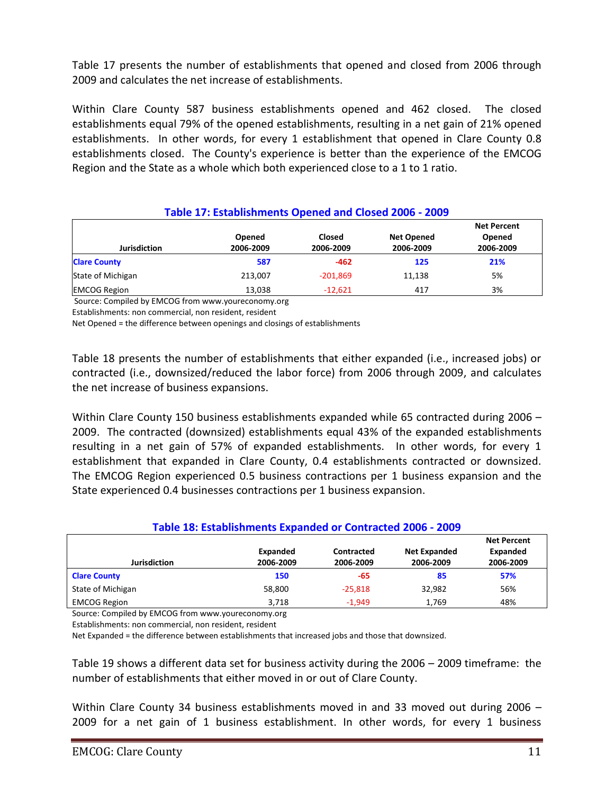Table 17 presents the number of establishments that opened and closed from 2006 through 2009 and calculates the net increase of establishments.

Within Clare County 587 business establishments opened and 462 closed. The closed establishments equal 79% of the opened establishments, resulting in a net gain of 21% opened establishments. In other words, for every 1 establishment that opened in Clare County 0.8 establishments closed. The County's experience is better than the experience of the EMCOG Region and the State as a whole which both experienced close to a 1 to 1 ratio.

| Table 17: Establishments Opened and Closed 2006 - 2009 |                     |                            |                                |                                           |  |
|--------------------------------------------------------|---------------------|----------------------------|--------------------------------|-------------------------------------------|--|
| <b>Jurisdiction</b>                                    | Opened<br>2006-2009 | <b>Closed</b><br>2006-2009 | <b>Net Opened</b><br>2006-2009 | <b>Net Percent</b><br>Opened<br>2006-2009 |  |
| <b>Clare County</b>                                    | 587                 | $-462$                     | 125                            | 21%                                       |  |
| State of Michigan                                      | 213.007             | $-201,869$                 | 11,138                         | 5%                                        |  |
| <b>EMCOG Region</b>                                    | 13,038              | $-12,621$                  | 417                            | 3%                                        |  |

Source: Compiled by EMCOG from www.youreconomy.org

Establishments: non commercial, non resident, resident

Net Opened = the difference between openings and closings of establishments

Table 18 presents the number of establishments that either expanded (i.e., increased jobs) or contracted (i.e., downsized/reduced the labor force) from 2006 through 2009, and calculates the net increase of business expansions.

Within Clare County 150 business establishments expanded while 65 contracted during 2006 – 2009. The contracted (downsized) establishments equal 43% of the expanded establishments resulting in a net gain of 57% of expanded establishments. In other words, for every 1 establishment that expanded in Clare County, 0.4 establishments contracted or downsized. The EMCOG Region experienced 0.5 business contractions per 1 business expansion and the State experienced 0.4 businesses contractions per 1 business expansion.

### **Table 18: Establishments Expanded or Contracted 2006 - 2009**

|                     |           |            |                     | <b>Net Percent</b> |
|---------------------|-----------|------------|---------------------|--------------------|
|                     | Expanded  | Contracted | <b>Net Expanded</b> | Expanded           |
| <b>Jurisdiction</b> | 2006-2009 | 2006-2009  | 2006-2009           | 2006-2009          |
| <b>Clare County</b> | 150       | -65        | 85                  | 57%                |
| State of Michigan   | 58,800    | $-25.818$  | 32,982              | 56%                |
| <b>EMCOG Region</b> | 3.718     | $-1.949$   | 1,769               | 48%                |

Source: Compiled by EMCOG from www.youreconomy.org

Establishments: non commercial, non resident, resident

Net Expanded = the difference between establishments that increased jobs and those that downsized.

Table 19 shows a different data set for business activity during the 2006 – 2009 timeframe: the number of establishments that either moved in or out of Clare County.

Within Clare County 34 business establishments moved in and 33 moved out during 2006 -2009 for a net gain of 1 business establishment. In other words, for every 1 business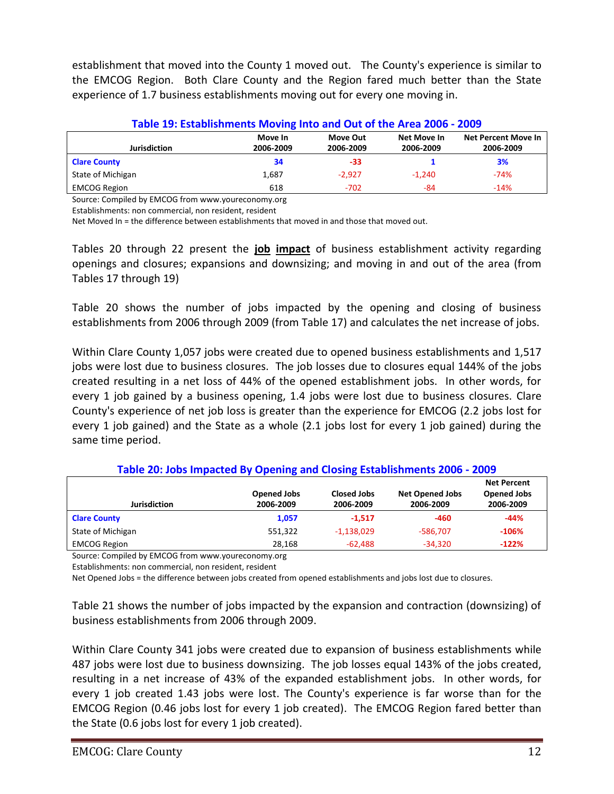establishment that moved into the County 1 moved out. The County's experience is similar to the EMCOG Region. Both Clare County and the Region fared much better than the State experience of 1.7 business establishments moving out for every one moving in.

| Table 19: Establishments Moving Into and Out of the Area 2006 - 2009 |                      |                       |                          |                                         |  |
|----------------------------------------------------------------------|----------------------|-----------------------|--------------------------|-----------------------------------------|--|
| <b>Jurisdiction</b>                                                  | Move In<br>2006-2009 | Move Out<br>2006-2009 | Net Move In<br>2006-2009 | <b>Net Percent Move In</b><br>2006-2009 |  |
| <b>Clare County</b>                                                  | 34                   | $-33$                 |                          | 3%                                      |  |
| State of Michigan                                                    | 1,687                | $-2.927$              | $-1.240$                 | $-74%$                                  |  |
| <b>EMCOG Region</b>                                                  | 618                  | $-702$                | -84                      | $-14%$                                  |  |

Source: Compiled by EMCOG from www.youreconomy.org

Establishments: non commercial, non resident, resident

Net Moved In = the difference between establishments that moved in and those that moved out.

Tables 20 through 22 present the **job impact** of business establishment activity regarding openings and closures; expansions and downsizing; and moving in and out of the area (from Tables 17 through 19)

Table 20 shows the number of jobs impacted by the opening and closing of business establishments from 2006 through 2009 (from Table 17) and calculates the net increase of jobs.

Within Clare County 1,057 jobs were created due to opened business establishments and 1,517 jobs were lost due to business closures. The job losses due to closures equal 144% of the jobs created resulting in a net loss of 44% of the opened establishment jobs. In other words, for every 1 job gained by a business opening, 1.4 jobs were lost due to business closures. Clare County's experience of net job loss is greater than the experience for EMCOG (2.2 jobs lost for every 1 job gained) and the State as a whole (2.1 jobs lost for every 1 job gained) during the same time period.

| <b>Net Percent</b><br><b>Opened Jobs</b><br><b>Closed Jobs</b><br><b>Opened Jobs</b><br><b>Net Opened Jobs</b><br><b>Jurisdiction</b><br>2006-2009<br>2006-2009<br>2006-2009<br>2006-2009 |         |              |            |         |  |
|-------------------------------------------------------------------------------------------------------------------------------------------------------------------------------------------|---------|--------------|------------|---------|--|
|                                                                                                                                                                                           |         |              |            |         |  |
| <b>Clare County</b>                                                                                                                                                                       | 1,057   | $-1.517$     | -460       | $-44%$  |  |
| State of Michigan                                                                                                                                                                         | 551,322 | $-1,138,029$ | $-586.707$ | $-106%$ |  |
| <b>EMCOG Region</b>                                                                                                                                                                       | 28.168  | $-62.488$    | $-34.320$  | $-122%$ |  |

**Table 20: Jobs Impacted By Opening and Closing Establishments 2006 - 2009**

Source: Compiled by EMCOG from www.youreconomy.org

Establishments: non commercial, non resident, resident

Net Opened Jobs = the difference between jobs created from opened establishments and jobs lost due to closures.

Table 21 shows the number of jobs impacted by the expansion and contraction (downsizing) of business establishments from 2006 through 2009.

Within Clare County 341 jobs were created due to expansion of business establishments while 487 jobs were lost due to business downsizing. The job losses equal 143% of the jobs created, resulting in a net increase of 43% of the expanded establishment jobs. In other words, for every 1 job created 1.43 jobs were lost. The County's experience is far worse than for the EMCOG Region (0.46 jobs lost for every 1 job created). The EMCOG Region fared better than the State (0.6 jobs lost for every 1 job created).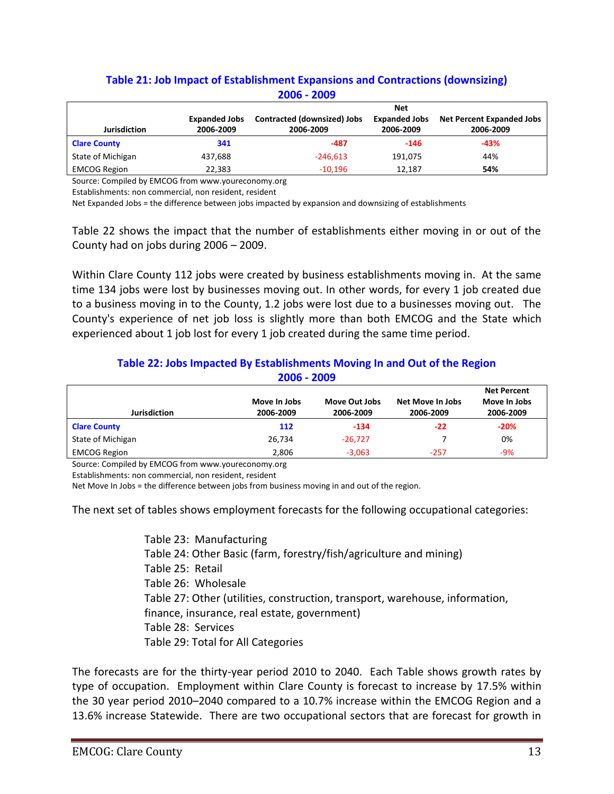|                     | <u> ZUUD - ZUUY</u>  |                             |                      |                                  |  |  |  |
|---------------------|----------------------|-----------------------------|----------------------|----------------------------------|--|--|--|
|                     |                      | <b>Net</b>                  |                      |                                  |  |  |  |
|                     | <b>Expanded Jobs</b> | Contracted (downsized) Jobs | <b>Expanded Jobs</b> | <b>Net Percent Expanded Jobs</b> |  |  |  |
| <b>Jurisdiction</b> | 2006-2009            | 2006-2009                   | 2006-2009            | 2006-2009                        |  |  |  |
| <b>Clare County</b> | 341                  | -487                        | $-146$               | $-43%$                           |  |  |  |
| State of Michigan   | 437,688              | $-246,613$                  | 191,075              | 44%                              |  |  |  |
| <b>EMCOG Region</b> | 22,383               | $-10,196$                   | 12,187               | 54%                              |  |  |  |

### **Table 21: Job Impact of Establishment Expansions and Contractions (downsizing) 2006 - 2009**

Source: Compiled by EMCOG from www.youreconomy.org

Establishments: non commercial, non resident, resident

Net Expanded Jobs = the difference between jobs impacted by expansion and downsizing of establishments

Table 22 shows the impact that the number of establishments either moving in or out of the County had on jobs during 2006 – 2009.

Within Clare County 112 jobs were created by business establishments moving in. At the same time 134 jobs were lost by businesses moving out. In other words, for every 1 job created due to a business moving in to the County, 1.2 jobs were lost due to a businesses moving out. The County's experience of net job loss is slightly more than both EMCOG and the State which experienced about 1 job lost for every 1 job created during the same time period.

### **Table 22: Jobs Impacted By Establishments Moving In and Out of the Region 2006 - 2009**

| Jurisdiction        | Move In Jobs<br>2006-2009 | Move Out Jobs<br>2006-2009 | Net Move In Jobs<br>2006-2009 | <b>Net Percent</b><br>Move In Jobs<br>2006-2009 |
|---------------------|---------------------------|----------------------------|-------------------------------|-------------------------------------------------|
| <b>Clare County</b> | 112                       | $-134$                     | $-22$                         | $-20%$                                          |
| State of Michigan   | 26,734                    | $-26.727$                  |                               | 0%                                              |
| <b>EMCOG Region</b> | 2.806                     | $-3.063$                   | $-257$                        | $-9%$                                           |

Source: Compiled by EMCOG from www.youreconomy.org

Establishments: non commercial, non resident, resident

Net Move In Jobs = the difference between jobs from business moving in and out of the region.

The next set of tables shows employment forecasts for the following occupational categories:

Table 23: Manufacturing Table 24: Other Basic (farm, forestry/fish/agriculture and mining) Table 25: Retail Table 26: Wholesale Table 27: Other (utilities, construction, transport, warehouse, information, finance, insurance, real estate, government) Table 28: Services Table 29: Total for All Categories

The forecasts are for the thirty-year period 2010 to 2040. Each Table shows growth rates by type of occupation. Employment within Clare County is forecast to increase by 17.5% within the 30 year period 2010–2040 compared to a 10.7% increase within the EMCOG Region and a 13.6% increase Statewide. There are two occupational sectors that are forecast for growth in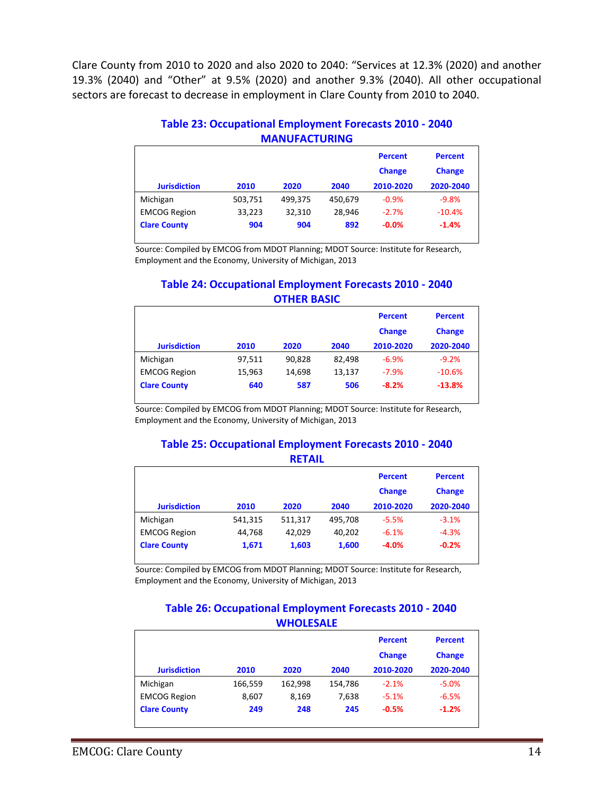Clare County from 2010 to 2020 and also 2020 to 2040: "Services at 12.3% (2020) and another 19.3% (2040) and "Other" at 9.5% (2020) and another 9.3% (2040). All other occupational sectors are forecast to decrease in employment in Clare County from 2010 to 2040.

#### **Table 23: Occupational Employment Forecasts 2010 - 2040 MANUFACTURING**

|                     |         |         |         | <b>Percent</b><br><b>Change</b> | <b>Percent</b><br><b>Change</b> |
|---------------------|---------|---------|---------|---------------------------------|---------------------------------|
| <b>Jurisdiction</b> | 2010    | 2020    | 2040    | 2010-2020                       | 2020-2040                       |
| Michigan            | 503,751 | 499,375 | 450,679 | $-0.9%$                         | $-9.8%$                         |
| <b>EMCOG Region</b> | 33,223  | 32,310  | 28.946  | $-2.7%$                         | $-10.4%$                        |
| <b>Clare County</b> | 904     | 904     | 892     | $-0.0%$                         | $-1.4%$                         |

Source: Compiled by EMCOG from MDOT Planning; MDOT Source: Institute for Research, Employment and the Economy, University of Michigan, 2013

### **Table 24: Occupational Employment Forecasts 2010 - 2040 OTHER BASIC**

|                     |        |        |        | <b>Percent</b> | <b>Percent</b> |
|---------------------|--------|--------|--------|----------------|----------------|
|                     |        |        |        | <b>Change</b>  | <b>Change</b>  |
| <b>Jurisdiction</b> | 2010   | 2020   | 2040   | 2010-2020      | 2020-2040      |
| Michigan            | 97,511 | 90.828 | 82,498 | $-6.9%$        | $-9.2%$        |
| <b>EMCOG Region</b> | 15,963 | 14,698 | 13,137 | $-7.9%$        | $-10.6%$       |
| <b>Clare County</b> | 640    | 587    | 506    | $-8.2%$        | $-13.8%$       |

Source: Compiled by EMCOG from MDOT Planning; MDOT Source: Institute for Research, Employment and the Economy, University of Michigan, 2013

#### **Table 25: Occupational Employment Forecasts 2010 - 2040 RETAIL**

|                     |         |         |         | <b>Percent</b> | <b>Percent</b> |
|---------------------|---------|---------|---------|----------------|----------------|
|                     |         |         |         | <b>Change</b>  | <b>Change</b>  |
| <b>Jurisdiction</b> | 2010    | 2020    | 2040    | 2010-2020      | 2020-2040      |
| Michigan            | 541,315 | 511,317 | 495,708 | $-5.5%$        | $-3.1%$        |
| <b>EMCOG Region</b> | 44.768  | 42.029  | 40.202  | $-6.1%$        | $-4.3%$        |
| <b>Clare County</b> | 1,671   | 1,603   | 1,600   | $-4.0%$        | $-0.2%$        |

Source: Compiled by EMCOG from MDOT Planning; MDOT Source: Institute for Research, Employment and the Economy, University of Michigan, 2013

#### **Table 26: Occupational Employment Forecasts 2010 - 2040 WHOLESALE**

|                     |         |         |         | <b>Percent</b><br><b>Change</b> | <b>Percent</b><br><b>Change</b> |
|---------------------|---------|---------|---------|---------------------------------|---------------------------------|
| <b>Jurisdiction</b> | 2010    | 2020    | 2040    | 2010-2020                       | 2020-2040                       |
| Michigan            | 166,559 | 162,998 | 154,786 | $-2.1%$                         | $-5.0%$                         |
| <b>EMCOG Region</b> | 8.607   | 8,169   | 7.638   | $-5.1%$                         | $-6.5%$                         |
| <b>Clare County</b> | 249     | 248     | 245     | $-0.5%$                         | $-1.2%$                         |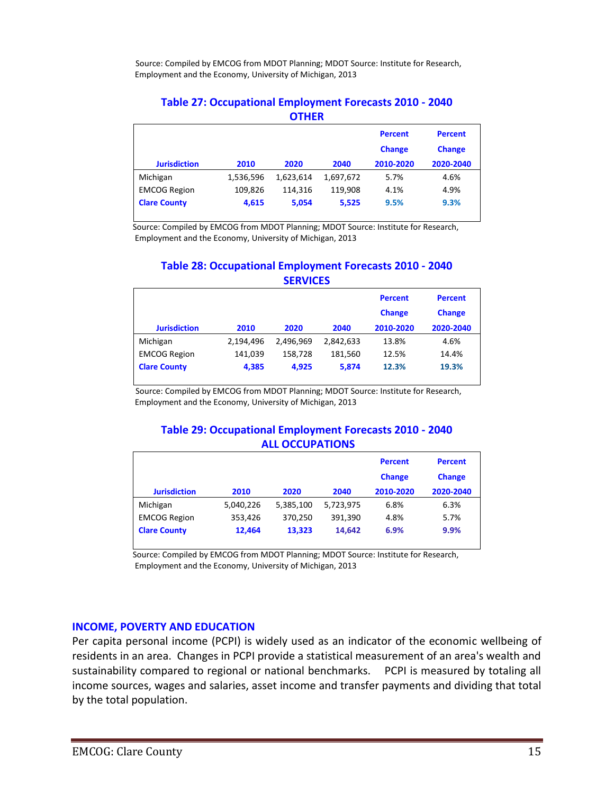Source: Compiled by EMCOG from MDOT Planning; MDOT Source: Institute for Research, Employment and the Economy, University of Michigan, 2013

#### **Table 27: Occupational Employment Forecasts 2010 - 2040 OTHER**

| <b>Jurisdiction</b> | 2010      | 2020      | 2040      | <b>Percent</b><br><b>Change</b><br>2010-2020 | <b>Percent</b><br><b>Change</b><br>2020-2040 |
|---------------------|-----------|-----------|-----------|----------------------------------------------|----------------------------------------------|
| Michigan            | 1,536,596 | 1,623,614 | 1,697,672 | 5.7%                                         | 4.6%                                         |
| <b>EMCOG Region</b> | 109,826   | 114,316   | 119.908   | 4.1%                                         | 4.9%                                         |
| <b>Clare County</b> | 4,615     | 5,054     | 5,525     | 9.5%                                         | 9.3%                                         |

Source: Compiled by EMCOG from MDOT Planning; MDOT Source: Institute for Research, Employment and the Economy, University of Michigan, 2013

### **Table 28: Occupational Employment Forecasts 2010 - 2040 SERVICES**

| <b>Jurisdiction</b> | 2010      | 2020      | 2040      | <b>Percent</b><br><b>Change</b><br>2010-2020 | <b>Percent</b><br><b>Change</b><br>2020-2040 |
|---------------------|-----------|-----------|-----------|----------------------------------------------|----------------------------------------------|
| Michigan            | 2,194,496 | 2.496.969 | 2.842.633 | 13.8%                                        | 4.6%                                         |
| <b>EMCOG Region</b> | 141.039   | 158,728   | 181.560   | 12.5%                                        | 14.4%                                        |
| <b>Clare County</b> | 4,385     | 4,925     | 5,874     | 12.3%                                        | 19.3%                                        |

Source: Compiled by EMCOG from MDOT Planning; MDOT Source: Institute for Research, Employment and the Economy, University of Michigan, 2013

### **Table 29: Occupational Employment Forecasts 2010 - 2040 ALL OCCUPATIONS**

|                     |           |           |           | <b>Percent</b><br><b>Change</b> | <b>Percent</b><br><b>Change</b> |
|---------------------|-----------|-----------|-----------|---------------------------------|---------------------------------|
| <b>Jurisdiction</b> | 2010      | 2020      | 2040      | 2010-2020                       | 2020-2040                       |
| Michigan            | 5,040,226 | 5,385,100 | 5,723,975 | 6.8%                            | 6.3%                            |
| <b>EMCOG Region</b> | 353,426   | 370,250   | 391,390   | 4.8%                            | 5.7%                            |
| <b>Clare County</b> | 12,464    | 13,323    | 14.642    | 6.9%                            | 9.9%                            |

 Source: Compiled by EMCOG from MDOT Planning; MDOT Source: Institute for Research, Employment and the Economy, University of Michigan, 2013

#### **INCOME, POVERTY AND EDUCATION**

Per capita personal income (PCPI) is widely used as an indicator of the economic wellbeing of residents in an area. Changes in PCPI provide a statistical measurement of an area's wealth and sustainability compared to regional or national benchmarks. PCPI is measured by totaling all income sources, wages and salaries, asset income and transfer payments and dividing that total by the total population.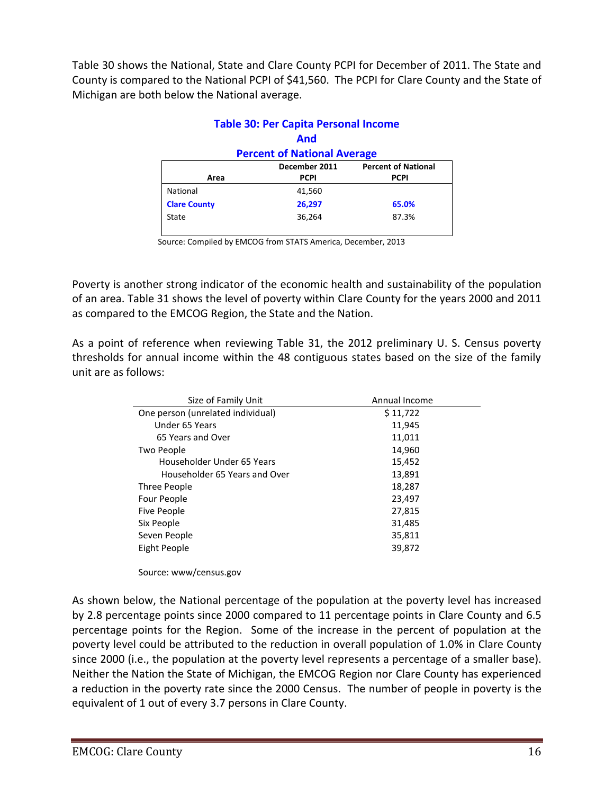Table 30 shows the National, State and Clare County PCPI for December of 2011. The State and County is compared to the National PCPI of \$41,560. The PCPI for Clare County and the State of Michigan are both below the National average.

|                                             | <b>Table 30: Per Capita Personal Income</b> |             |  |  |  |  |
|---------------------------------------------|---------------------------------------------|-------------|--|--|--|--|
|                                             | <b>And</b>                                  |             |  |  |  |  |
| <b>Percent of National Average</b>          |                                             |             |  |  |  |  |
| December 2011<br><b>Percent of National</b> |                                             |             |  |  |  |  |
| Area                                        | <b>PCPI</b>                                 | <b>PCPI</b> |  |  |  |  |
| National                                    | 41,560                                      |             |  |  |  |  |
| <b>Clare County</b>                         | 26,297                                      | 65.0%       |  |  |  |  |
| State                                       | 36,264                                      | 87.3%       |  |  |  |  |
|                                             |                                             |             |  |  |  |  |

Source: Compiled by EMCOG from STATS America, December, 2013

Poverty is another strong indicator of the economic health and sustainability of the population of an area. Table 31 shows the level of poverty within Clare County for the years 2000 and 2011 as compared to the EMCOG Region, the State and the Nation.

As a point of reference when reviewing Table 31, the 2012 preliminary U. S. Census poverty thresholds for annual income within the 48 contiguous states based on the size of the family unit are as follows:

| Size of Family Unit               | Annual Income |
|-----------------------------------|---------------|
| One person (unrelated individual) | \$11,722      |
| Under 65 Years                    | 11,945        |
| 65 Years and Over                 | 11,011        |
| Two People                        | 14,960        |
| Householder Under 65 Years        | 15,452        |
| Householder 65 Years and Over     | 13,891        |
| Three People                      | 18,287        |
| Four People                       | 23,497        |
| Five People                       | 27,815        |
| Six People                        | 31,485        |
| Seven People                      | 35,811        |
| Eight People                      | 39,872        |

Source: www/census.gov

As shown below, the National percentage of the population at the poverty level has increased by 2.8 percentage points since 2000 compared to 11 percentage points in Clare County and 6.5 percentage points for the Region. Some of the increase in the percent of population at the poverty level could be attributed to the reduction in overall population of 1.0% in Clare County since 2000 (i.e., the population at the poverty level represents a percentage of a smaller base). Neither the Nation the State of Michigan, the EMCOG Region nor Clare County has experienced a reduction in the poverty rate since the 2000 Census. The number of people in poverty is the equivalent of 1 out of every 3.7 persons in Clare County.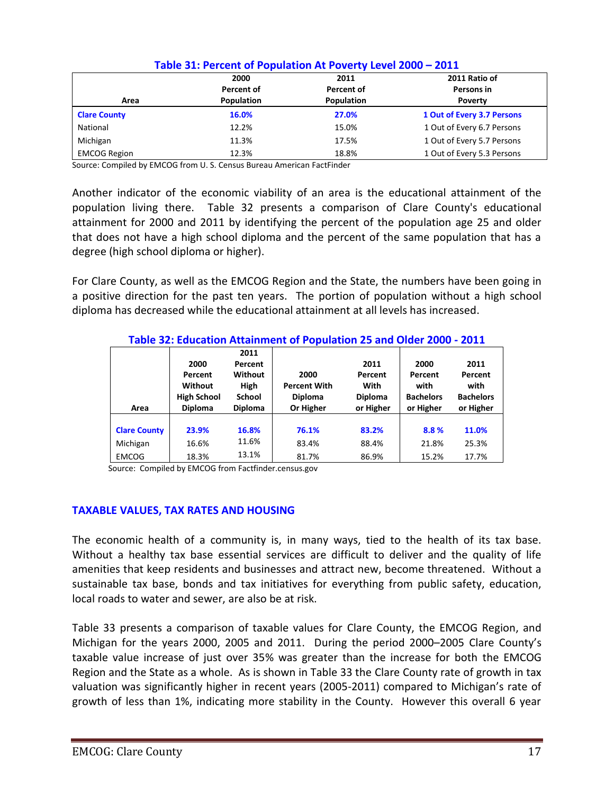|                     | 2000       | 2011       | 2011 Ratio of              |
|---------------------|------------|------------|----------------------------|
|                     | Percent of | Percent of | Persons in                 |
| Area                | Population | Population | <b>Poverty</b>             |
| <b>Clare County</b> | 16.0%      | 27.0%      | 1 Out of Every 3.7 Persons |
| National            | 12.2%      | 15.0%      | 1 Out of Every 6.7 Persons |
| Michigan            | 11.3%      | 17.5%      | 1 Out of Every 5.7 Persons |
| <b>EMCOG Region</b> | 12.3%      | 18.8%      | 1 Out of Every 5.3 Persons |

### **Table 31: Percent of Population At Poverty Level 2000 – 2011**

Source: Compiled by EMCOG from U. S. Census Bureau American FactFinder

Another indicator of the economic viability of an area is the educational attainment of the population living there. Table 32 presents a comparison of Clare County's educational attainment for 2000 and 2011 by identifying the percent of the population age 25 and older that does not have a high school diploma and the percent of the same population that has a degree (high school diploma or higher).

For Clare County, as well as the EMCOG Region and the State, the numbers have been going in a positive direction for the past ten years. The portion of population without a high school diploma has decreased while the educational attainment at all levels has increased.

|                     |                    |                | Table 32: Education Attainment of Population 25 and Older 2000 - 2011 |                |                  |                  |
|---------------------|--------------------|----------------|-----------------------------------------------------------------------|----------------|------------------|------------------|
|                     |                    | 2011           |                                                                       |                |                  |                  |
|                     | 2000               | Percent        |                                                                       | 2011           | 2000             | 2011             |
|                     | Percent            | Without        | 2000                                                                  | Percent        | Percent          | Percent          |
|                     | Without            | High           | <b>Percent With</b>                                                   | With           | with             | with             |
|                     | <b>High School</b> | <b>School</b>  | <b>Diploma</b>                                                        | <b>Diploma</b> | <b>Bachelors</b> | <b>Bachelors</b> |
| Area                | <b>Diploma</b>     | <b>Diploma</b> | Or Higher                                                             | or Higher      | or Higher        | or Higher        |
|                     |                    |                |                                                                       |                |                  |                  |
| <b>Clare County</b> | 23.9%              | 16.8%          | 76.1%                                                                 | 83.2%          | 8.8%             | 11.0%            |
| Michigan            | 16.6%              | 11.6%          | 83.4%                                                                 | 88.4%          | 21.8%            | 25.3%            |
|                     |                    |                |                                                                       |                |                  |                  |

## **Table 32: Education Attainment of Population 25 and Older 2000 - 2011**

Source: Compiled by EMCOG from Factfinder.census.gov

### **TAXABLE VALUES, TAX RATES AND HOUSING**

The economic health of a community is, in many ways, tied to the health of its tax base. Without a healthy tax base essential services are difficult to deliver and the quality of life amenities that keep residents and businesses and attract new, become threatened. Without a sustainable tax base, bonds and tax initiatives for everything from public safety, education, local roads to water and sewer, are also be at risk.

Table 33 presents a comparison of taxable values for Clare County, the EMCOG Region, and Michigan for the years 2000, 2005 and 2011. During the period 2000–2005 Clare County's taxable value increase of just over 35% was greater than the increase for both the EMCOG Region and the State as a whole. As is shown in Table 33 the Clare County rate of growth in tax valuation was significantly higher in recent years (2005-2011) compared to Michigan's rate of growth of less than 1%, indicating more stability in the County. However this overall 6 year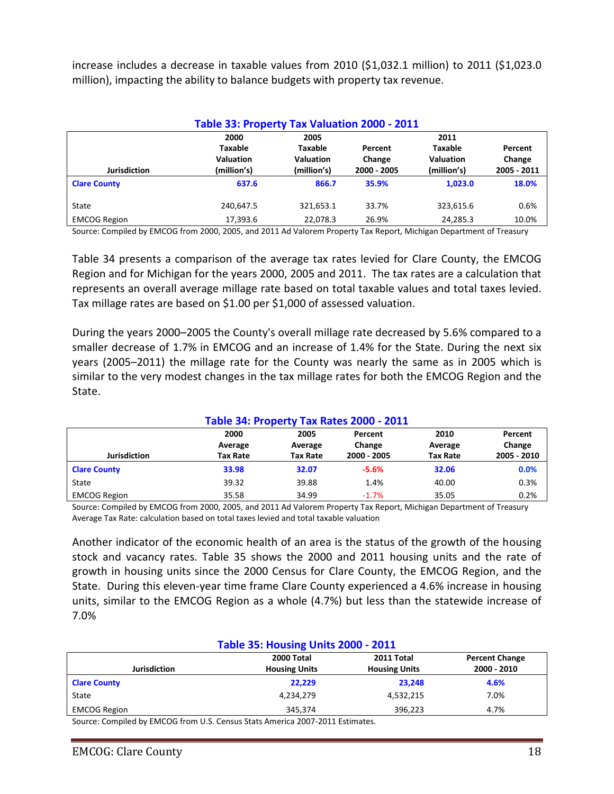increase includes a decrease in taxable values from 2010 (\$1,032.1 million) to 2011 (\$1,023.0 million), impacting the ability to balance budgets with property tax revenue.

|                     | Table 33: Property Tax Valuation 2000 - 2011       |                                                    |                                  |                                                           |                                  |
|---------------------|----------------------------------------------------|----------------------------------------------------|----------------------------------|-----------------------------------------------------------|----------------------------------|
| <b>Jurisdiction</b> | 2000<br>Taxable<br><b>Valuation</b><br>(million's) | 2005<br>Taxable<br><b>Valuation</b><br>(million's) | Percent<br>Change<br>2000 - 2005 | 2011<br><b>Taxable</b><br><b>Valuation</b><br>(million's) | Percent<br>Change<br>2005 - 2011 |
| <b>Clare County</b> | 637.6                                              | 866.7                                              | 35.9%                            | 1.023.0                                                   | 18.0%                            |
| State               | 240,647.5                                          | 321,653.1                                          | 33.7%                            | 323,615.6                                                 | 0.6%                             |
| <b>EMCOG Region</b> | 17,393.6                                           | 22.078.3                                           | 26.9%                            | 24,285.3                                                  | 10.0%                            |

Source: Compiled by EMCOG from 2000, 2005, and 2011 Ad Valorem Property Tax Report, Michigan Department of Treasury

Table 34 presents a comparison of the average tax rates levied for Clare County, the EMCOG Region and for Michigan for the years 2000, 2005 and 2011. The tax rates are a calculation that represents an overall average millage rate based on total taxable values and total taxes levied. Tax millage rates are based on \$1.00 per \$1,000 of assessed valuation.

During the years 2000–2005 the County's overall millage rate decreased by 5.6% compared to a smaller decrease of 1.7% in EMCOG and an increase of 1.4% for the State. During the next six years (2005–2011) the millage rate for the County was nearly the same as in 2005 which is similar to the very modest changes in the tax millage rates for both the EMCOG Region and the State.

| Table 34: Property Tax Rates 2000 - 2011 |                 |                 |                   |                 |                   |  |  |  |
|------------------------------------------|-----------------|-----------------|-------------------|-----------------|-------------------|--|--|--|
|                                          | 2000<br>Average | 2005<br>Average | Percent<br>Change | 2010<br>Average | Percent<br>Change |  |  |  |
| <b>Jurisdiction</b>                      | <b>Tax Rate</b> | <b>Tax Rate</b> | 2000 - 2005       | <b>Tax Rate</b> | 2005 - 2010       |  |  |  |
| <b>Clare County</b>                      | 33.98           | 32.07           | $-5.6%$           | 32.06           | 0.0%              |  |  |  |
| State                                    | 39.32           | 39.88           | 1.4%              | 40.00           | 0.3%              |  |  |  |
| <b>EMCOG Region</b>                      | 35.58           | 34.99           | $-1.7%$           | 35.05           | 0.2%              |  |  |  |

#### Source: Compiled by EMCOG from 2000, 2005, and 2011 Ad Valorem Property Tax Report, Michigan Department of Treasury Average Tax Rate: calculation based on total taxes levied and total taxable valuation

Another indicator of the economic health of an area is the status of the growth of the housing stock and vacancy rates. Table 35 shows the 2000 and 2011 housing units and the rate of growth in housing units since the 2000 Census for Clare County, the EMCOG Region, and the State. During this eleven-year time frame Clare County experienced a 4.6% increase in housing units, similar to the EMCOG Region as a whole (4.7%) but less than the statewide increase of 7.0%

| <b>Table 35: Housing Units 2000 - 2011</b>                |                                              |                      |                       |  |  |  |
|-----------------------------------------------------------|----------------------------------------------|----------------------|-----------------------|--|--|--|
|                                                           | 2000 Total                                   | 2011 Total           | <b>Percent Change</b> |  |  |  |
| <b>Jurisdiction</b>                                       | <b>Housing Units</b>                         | <b>Housing Units</b> | 2000 - 2010           |  |  |  |
| <b>Clare County</b>                                       | 22.229                                       | 23.248               | 4.6%                  |  |  |  |
| State                                                     | 4,234,279                                    | 4,532,215            | 7.0%                  |  |  |  |
| <b>EMCOG Region</b>                                       | 345.374                                      | 396.223              | 4.7%                  |  |  |  |
| $-0.0000$<br>$\cdots$ $\sim$<br>.<br>$\sim$ $\sim$ $\sim$ | $\sim$ $\sim$ $\sim$<br>$-0.0 - 0.04 - 0.04$ |                      |                       |  |  |  |

Source: Compiled by EMCOG from U.S. Census Stats America 2007-2011 Estimates.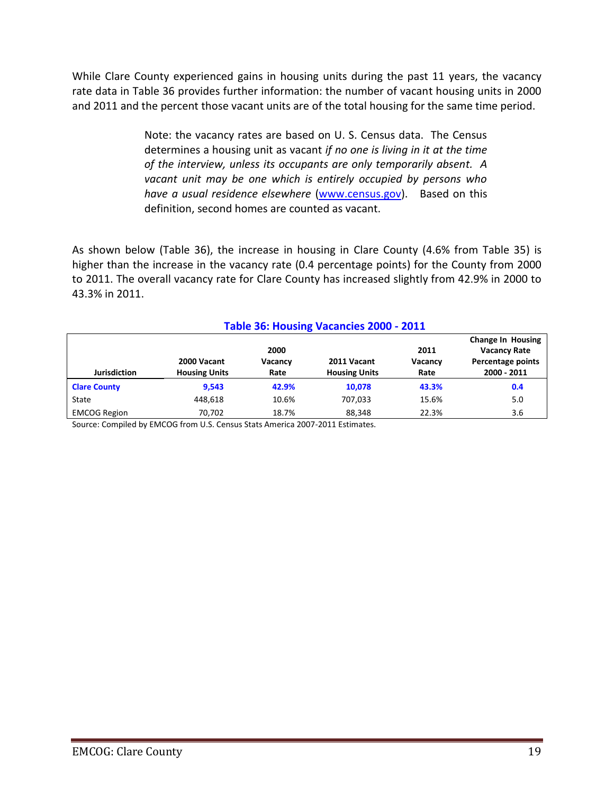While Clare County experienced gains in housing units during the past 11 years, the vacancy rate data in Table 36 provides further information: the number of vacant housing units in 2000 and 2011 and the percent those vacant units are of the total housing for the same time period.

> Note: the vacancy rates are based on U. S. Census data. The Census determines a housing unit as vacant *if no one is living in it at the time of the interview, unless its occupants are only temporarily absent. A vacant unit may be one which is entirely occupied by persons who have a usual residence elsewhere* [\(www.census.gov\)](http://www.census.gov/). Based on this definition, second homes are counted as vacant.

As shown below (Table 36), the increase in housing in Clare County (4.6% from Table 35) is higher than the increase in the vacancy rate (0.4 percentage points) for the County from 2000 to 2011. The overall vacancy rate for Clare County has increased slightly from 42.9% in 2000 to 43.3% in 2011.

**Table 36: Housing Vacancies 2000 - 2011**

| Table 36: Housing Vacancies 2000 - 2011 |                                     |                                                 |                                     |                         |                                  |  |  |
|-----------------------------------------|-------------------------------------|-------------------------------------------------|-------------------------------------|-------------------------|----------------------------------|--|--|
|                                         |                                     | <b>Change In Housing</b><br><b>Vacancy Rate</b> |                                     |                         |                                  |  |  |
| <b>Jurisdiction</b>                     | 2000 Vacant<br><b>Housing Units</b> | 2000<br>Vacancy<br>Rate                         | 2011 Vacant<br><b>Housing Units</b> | 2011<br>Vacancy<br>Rate | Percentage points<br>2000 - 2011 |  |  |
| <b>Clare County</b>                     | 9.543                               | 42.9%                                           | 10,078                              | 43.3%                   | 0.4                              |  |  |
| State                                   | 448.618                             | 10.6%                                           | 707.033                             | 15.6%                   | 5.0                              |  |  |
| <b>EMCOG Region</b>                     | 70.702                              | 18.7%                                           | 88,348                              | 22.3%                   | 3.6                              |  |  |

#### Source: Compiled by EMCOG from U.S. Census Stats America 2007-2011 Estimates.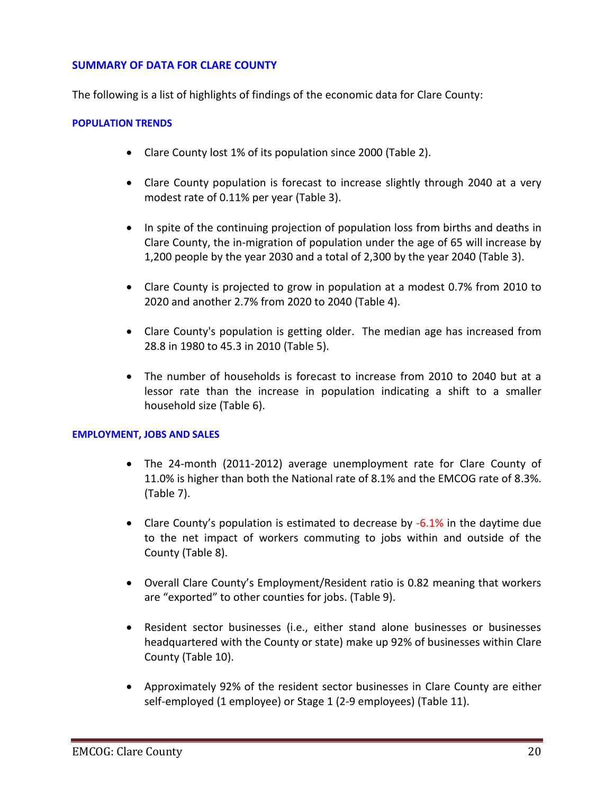### **SUMMARY OF DATA FOR CLARE COUNTY**

The following is a list of highlights of findings of the economic data for Clare County:

#### **POPULATION TRENDS**

- Clare County lost 1% of its population since 2000 (Table 2).
- Clare County population is forecast to increase slightly through 2040 at a very modest rate of 0.11% per year (Table 3).
- In spite of the continuing projection of population loss from births and deaths in Clare County, the in-migration of population under the age of 65 will increase by 1,200 people by the year 2030 and a total of 2,300 by the year 2040 (Table 3).
- Clare County is projected to grow in population at a modest 0.7% from 2010 to 2020 and another 2.7% from 2020 to 2040 (Table 4).
- Clare County's population is getting older. The median age has increased from 28.8 in 1980 to 45.3 in 2010 (Table 5).
- The number of households is forecast to increase from 2010 to 2040 but at a lessor rate than the increase in population indicating a shift to a smaller household size (Table 6).

#### **EMPLOYMENT, JOBS AND SALES**

- The 24-month (2011-2012) average unemployment rate for Clare County of 11.0% is higher than both the National rate of 8.1% and the EMCOG rate of 8.3%. (Table 7).
- Clare County's population is estimated to decrease by -6.1% in the daytime due to the net impact of workers commuting to jobs within and outside of the County (Table 8).
- Overall Clare County's Employment/Resident ratio is 0.82 meaning that workers are "exported" to other counties for jobs. (Table 9).
- Resident sector businesses (i.e., either stand alone businesses or businesses headquartered with the County or state) make up 92% of businesses within Clare County (Table 10).
- Approximately 92% of the resident sector businesses in Clare County are either self-employed (1 employee) or Stage 1 (2-9 employees) (Table 11).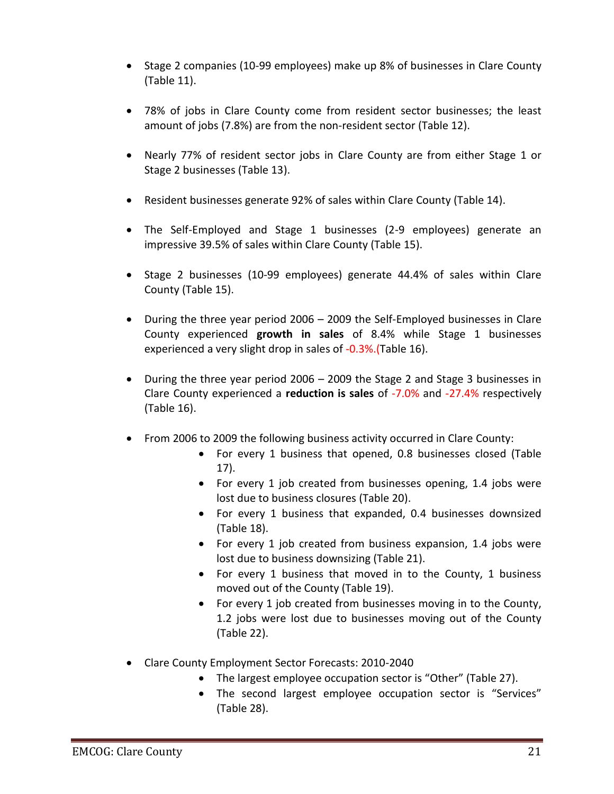- Stage 2 companies (10-99 employees) make up 8% of businesses in Clare County (Table 11).
- 78% of jobs in Clare County come from resident sector businesses; the least amount of jobs (7.8%) are from the non-resident sector (Table 12).
- Nearly 77% of resident sector jobs in Clare County are from either Stage 1 or Stage 2 businesses (Table 13).
- Resident businesses generate 92% of sales within Clare County (Table 14).
- The Self-Employed and Stage 1 businesses (2-9 employees) generate an impressive 39.5% of sales within Clare County (Table 15).
- Stage 2 businesses (10-99 employees) generate 44.4% of sales within Clare County (Table 15).
- During the three year period 2006 2009 the Self-Employed businesses in Clare County experienced **growth in sales** of 8.4% while Stage 1 businesses experienced a very slight drop in sales of -0.3%.(Table 16).
- During the three year period 2006 2009 the Stage 2 and Stage 3 businesses in Clare County experienced a **reduction is sales** of -7.0% and -27.4% respectively (Table 16).
- From 2006 to 2009 the following business activity occurred in Clare County:
	- For every 1 business that opened, 0.8 businesses closed (Table 17).
	- For every 1 job created from businesses opening, 1.4 jobs were lost due to business closures (Table 20).
	- For every 1 business that expanded, 0.4 businesses downsized (Table 18).
	- For every 1 job created from business expansion, 1.4 jobs were lost due to business downsizing (Table 21).
	- For every 1 business that moved in to the County, 1 business moved out of the County (Table 19).
	- For every 1 job created from businesses moving in to the County, 1.2 jobs were lost due to businesses moving out of the County (Table 22).
- Clare County Employment Sector Forecasts: 2010-2040
	- The largest employee occupation sector is "Other" (Table 27).
	- The second largest employee occupation sector is "Services" (Table 28).